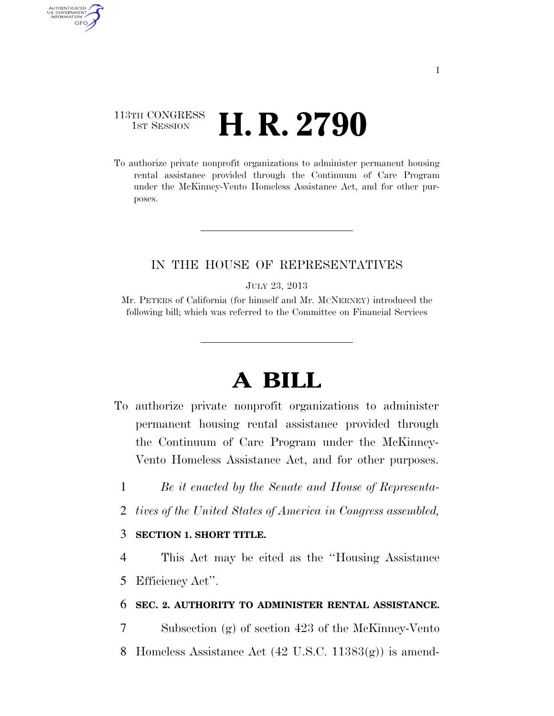## 113TH CONGRESS **1st Session H. R. 2790**

AUTHENTICATED U.S. GOVERNMENT **GPO** 

> To authorize private nonprofit organizations to administer permanent housing rental assistance provided through the Continuum of Care Program under the McKinney-Vento Homeless Assistance Act, and for other purposes.

#### IN THE HOUSE OF REPRESENTATIVES

JULY 23, 2013

Mr. PETERS of California (for himself and Mr. MCNERNEY) introduced the following bill; which was referred to the Committee on Financial Services

# **A BILL**

- To authorize private nonprofit organizations to administer permanent housing rental assistance provided through the Continuum of Care Program under the McKinney-Vento Homeless Assistance Act, and for other purposes.
	- 1 *Be it enacted by the Senate and House of Representa-*
	- 2 *tives of the United States of America in Congress assembled,*

### 3 **SECTION 1. SHORT TITLE.**

4 This Act may be cited as the ''Housing Assistance 5 Efficiency Act''.

#### 6 **SEC. 2. AUTHORITY TO ADMINISTER RENTAL ASSISTANCE.**

7 Subsection (g) of section 423 of the McKinney-Vento

8 Homeless Assistance Act (42 U.S.C. 11383(g)) is amend-